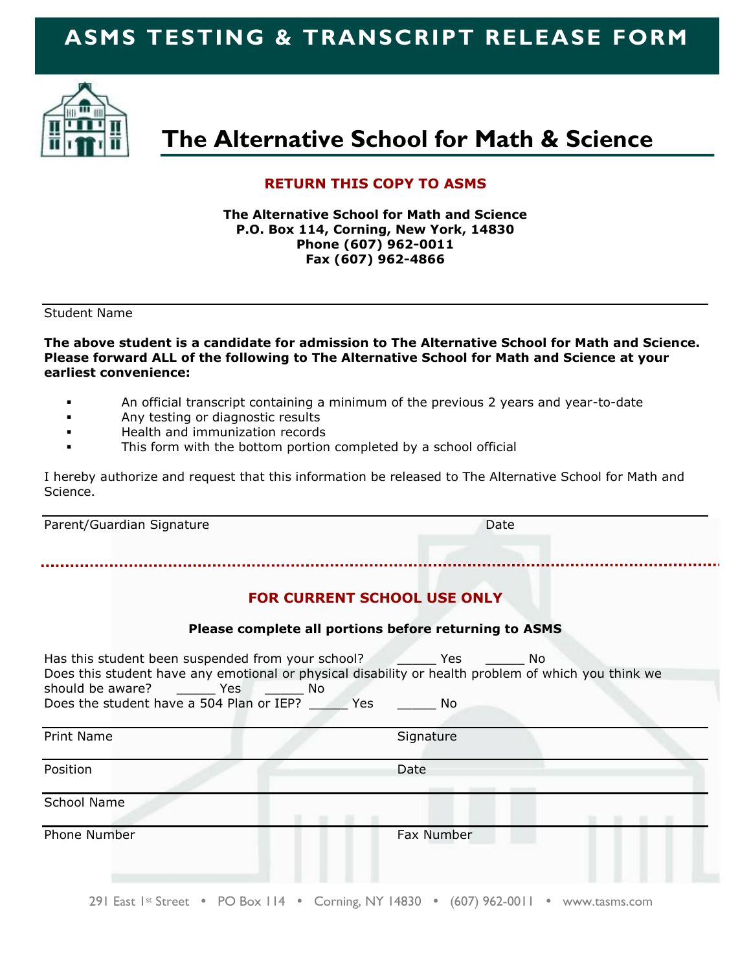# **ASMS TESTING & TRANSCRIPT RELEASE FORM**



# **The Alternative School for Math & Science**

#### **RETURN THIS COPY TO ASMS**

**The Alternative School for Math and Science P.O. Box 114, Corning, New York, 14830 Phone (607) 962-0011 Fax (607) 962-4866**

Student Name

**The above student is a candidate for admission to The Alternative School for Math and Science. Please forward ALL of the following to The Alternative School for Math and Science at your earliest convenience:**

- An official transcript containing a minimum of the previous 2 years and year-to-date
- Any testing or diagnostic results
- **Health and immunization records**
- This form with the bottom portion completed by a school official

I hereby authorize and request that this information be released to The Alternative School for Math and Science.

Parent/Guardian Signature **Date** Date Date

### **FOR CURRENT SCHOOL USE ONLY**

#### **Please complete all portions before returning to ASMS**

| Has this student been suspended from your school?<br>Does this student have any emotional or physical disability or health problem of which you think we<br>should be aware?<br><b>Example 19 Yes</b><br><b>No. No. 19</b><br>Does the student have a 504 Plan or IEP?<br>Yes | Yes.<br>No.<br>No. |
|-------------------------------------------------------------------------------------------------------------------------------------------------------------------------------------------------------------------------------------------------------------------------------|--------------------|
| <b>Print Name</b>                                                                                                                                                                                                                                                             | Signature          |
| Position                                                                                                                                                                                                                                                                      | Date               |
| School Name                                                                                                                                                                                                                                                                   |                    |
| Phone Number                                                                                                                                                                                                                                                                  | Fax Number         |

291 East  $1$ <sup>st</sup> Street • PO Box 114 • Corning, NY 14830 • (607) 962-0011 • www.tasms.com